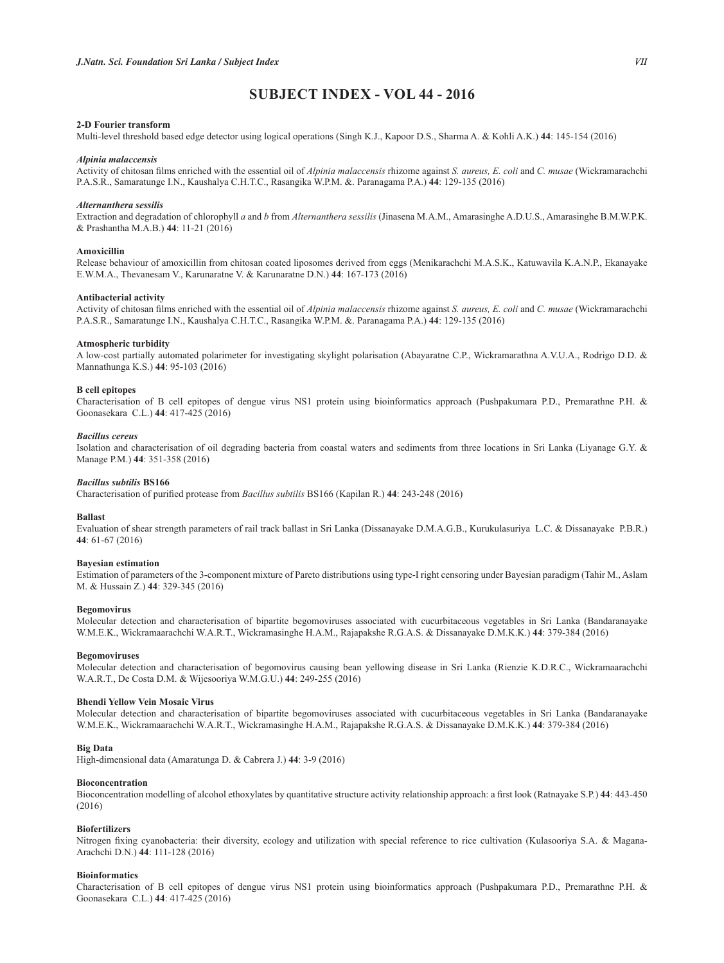# **68%-(&7,1'(;92/**

### **2-D Fourier transform**

Multi-level threshold based edge detector using logical operations (Singh K.J., Kapoor D.S., Sharma A. & Kohli A.K.) **44**: 145-154 (2016)

## *Alpinia malaccensis*

Activity of chitosan films enriched with the essential oil of *Alpinia malaccensis* rhizome against *S. aureus, E. coli* and *C. musae* (Wickramarachchi P.A.S.R., Samaratunge I.N., Kaushalya C.H.T.C., Rasangika W.P.M. &. Paranagama P.A.) **44**: 129-135 (2016)

## *Alternanthera sessilis*

Extraction and degradation of chlorophyll *a* and *b* from *Alternanthera sessilis* (Jinasena M.A.M., Amarasinghe A.D.U.S., Amarasinghe B.M.W.P.K. & Prashantha M.A.B.) **44**: 11-21 (2016)

## **A** movicillin

Release behaviour of amoxicillin from chitosan coated liposomes derived from eggs (Menikarachchi M.A.S.K., Katuwavila K.A.N.P., Ekanayake E.W.M.A., Thevanesam V., Karunaratne V. & Karunaratne D.N.) **44**: 167-173 (2016)

### **Antibacterial activity**

Activity of chitosan films enriched with the essential oil of *Alpinia malaccensis* rhizome against *S. aureus, E. coli* and *C. musae* (Wickramarachchi P.A.S.R., Samaratunge I.N., Kaushalya C.H.T.C., Rasangika W.P.M. &. Paranagama P.A.) **44**: 129-135 (2016)

#### **Atmospheric turbidity**

A low-cost partially automated polarimeter for investigating skylight polarisation (Abayaratne C.P., Wickramarathna A.V.U.A., Rodrigo D.D. & Mannathunga K.S.) **44**: 95-103 (2016)

### **B** cell epitopes

Characterisation of B cell epitopes of dengue virus NS1 protein using bioinformatics approach (Pushpakumara P.D., Premarathne P.H. & Goonasekara C.L.) **44**: 417-425 (2016)

#### *Bacillus cereus*

Isolation and characterisation of oil degrading bacteria from coastal waters and sediments from three locations in Sri Lanka (Liyanage G.Y. & Manage P.M.) **44**: 351-358 (2016)

#### **Bacillus subtilis BS166**

Characterisation of purified protease from Bacillus subtilis BS166 (Kapilan R.) 44: 243-248 (2016)

#### **Ballast**

Evaluation of shear strength parameters of rail track ballast in Sri Lanka (Dissanayake D.M.A.G.B., Kurukulasuriya L.C. & Dissanayake P.B.R.) **44**: 61-67 (2016)

### **Bayesian estimation**

Estimation of parameters of the 3-component mixture of Pareto distributions using type-I right censoring under Bayesian paradigm (Tahir M., Aslam M. & Hussain Z.) **44**: 329-345 (2016)

### **Begomovirus**

Molecular detection and characterisation of bipartite begomoviruses associated with cucurbitaceous vegetables in Sri Lanka (Bandaranayake W.M.E.K., Wickramaarachchi W.A.R.T., Wickramasinghe H.A.M., Rajapakshe R.G.A.S. & Dissanayake D.M.K.K.) **44**: 379-384 (2016)

#### **Begomoviruses**

Molecular detection and characterisation of begomovirus causing bean yellowing disease in Sri Lanka (Rienzie K.D.R.C., Wickramaarachchi W.A.R.T., De Costa D.M. & Wijesooriya W.M.G.U.) **44**: 249-255 (2016)

### **Bhendi Yellow Vein Mosaic Virus**

Molecular detection and characterisation of bipartite begomoviruses associated with cucurbitaceous vegetables in Sri Lanka (Bandaranayake W.M.E.K., Wickramaarachchi W.A.R.T., Wickramasinghe H.A.M., Rajapakshe R.G.A.S. & Dissanayake D.M.K.K.) **44**: 379-384 (2016)

## **Big Data**

High-dimensional data (Amaratunga D. & Cabrera J.) **44**: 3-9 (2016)

### **Bioconcentration**

Bioconcentration modelling of alcohol ethoxylates by quantitative structure activity relationship approach: a first look (Ratnayake S.P.) 44: 443-450 (2016)

## **Biofertilizers**

Nitrogen fixing cyanobacteria: their diversity, ecology and utilization with special reference to rice cultivation (Kulasooriya S.A. & Magana-Arachchi D.N.) **44**: 111-128 (2016)

## **Rioinformatics**

Characterisation of B cell epitopes of dengue virus NS1 protein using bioinformatics approach (Pushpakumara P.D., Premarathne P.H. & Goonasekara C.L.) **44**: 417-425 (2016)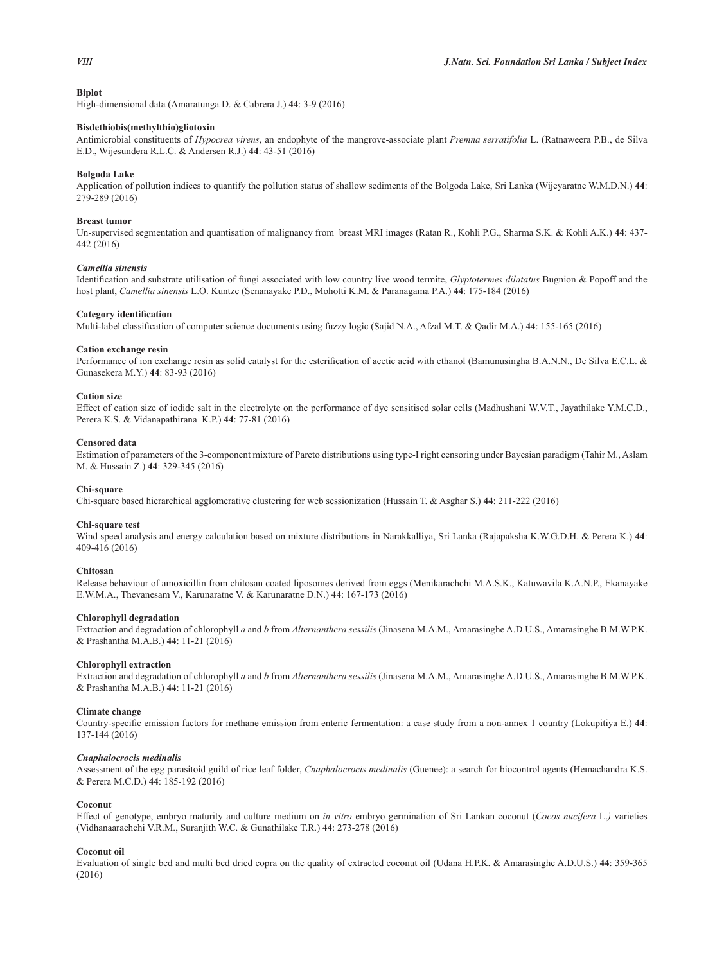## **Biplot**

High-dimensional data (Amaratunga D. & Cabrera J.) **44**: 3-9 (2016)

## $B$ isdethiobis(methylthio)gliotoxin

Antimicrobial constituents of *Hypocrea virens*, an endophyte of the mangrove-associate plant *Premna serratifolia* L. (Ratnaweera P.B., de Silva E.D., Wijesundera R.L.C. & Andersen R.J.) **44**: 43-51 (2016)

#### **Bolgoda Lake**

Application of pollution indices to quantify the pollution status of shallow sediments of the Bolgoda Lake, Sri Lanka (Wijeyaratne W.M.D.N.) **44**: 279-289 (2016)

## **Breast tumor**

Un-supervised segmentation and quantisation of malignancy from breast MRI images (Ratan R., Kohli P.G., Sharma S.K. & Kohli A.K.) **44**: 437- 442 (2016)

## *Camellia sinensis*

Identification and substrate utilisation of fungi associated with low country live wood termite, *Glyptotermes dilatatus* Bugnion & Popoff and the host plant, *Camellia sinensis* L.O. Kuntze (Senanayake P.D., Mohotti K.M. & Paranagama P.A.) **44**: 175-184 (2016)

### Category identification

Multi-label classification of computer science documents using fuzzy logic (Sajid N.A., Afzal M.T. & Qadir M.A.) 44: 155-165 (2016)

## Cation exchange resin

Performance of ion exchange resin as solid catalyst for the esterification of acetic acid with ethanol (Bamunusingha B.A.N.N., De Silva E.C.L. & Gunasekera M.Y.) **44**: 83-93 (2016)

### Cation size

Effect of cation size of iodide salt in the electrolyte on the performance of dye sensitised solar cells (Madhushani W.V.T., Jayathilake Y.M.C.D., Perera K.S. & Vidanapathirana K.P.) **44**: 77-81 (2016)

### **Censored** data

Estimation of parameters of the 3-component mixture of Pareto distributions using type-I right censoring under Bayesian paradigm (Tahir M., Aslam M. & Hussain Z.) **44**: 329-345 (2016)

### Chi-square

Chi-square based hierarchical agglomerative clustering for web sessionization (Hussain T. & Asghar S.) **44**: 211-222 (2016)

#### **Chi-square test**

Wind speed analysis and energy calculation based on mixture distributions in Narakkalliya, Sri Lanka (Rajapaksha K.W.G.D.H. & Perera K.) **44**: 409-416 (2016)

## **Chitosan**

Release behaviour of amoxicillin from chitosan coated liposomes derived from eggs (Menikarachchi M.A.S.K., Katuwavila K.A.N.P., Ekanayake E.W.M.A., Thevanesam V., Karunaratne V. & Karunaratne D.N.) **44**: 167-173 (2016)

#### **Chlorophyll degradation**

Extraction and degradation of chlorophyll *a* and *b* from *Alternanthera sessilis* (Jinasena M.A.M., Amarasinghe A.D.U.S., Amarasinghe B.M.W.P.K. & Prashantha M.A.B.) **44**: 11-21 (2016)

## **Chlorophyll extraction**

Extraction and degradation of chlorophyll *a* and *b* from *Alternanthera sessilis* (Jinasena M.A.M., Amarasinghe A.D.U.S., Amarasinghe B.M.W.P.K. & Prashantha M.A.B.) **44**: 11-21 (2016)

### **Climate change**

Country-specific emission factors for methane emission from enteric fermentation: a case study from a non-annex 1 country (Lokupitiya E.) 44: 137-144 (2016)

#### *Cnaphalocrocis medinalis*

Assessment of the egg parasitoid guild of rice leaf folder, *Cnaphalocrocis medinalis* (Guenee): a search for biocontrol agents (Hemachandra K.S. & Perera M.C.D.) **44**: 185-192 (2016)

## **Coconut**

Effect of genotype, embryo maturity and culture medium on *in vitro* embryo germination of Sri Lankan coconut (*Cocos nucifera* L.*)* varieties (Vidhanaarachchi V.R.M., Suranjith W.C. & Gunathilake T.R.) **44**: 273-278 (2016)

## **Coconut** oil

Evaluation of single bed and multi bed dried copra on the quality of extracted coconut oil (Udana H.P.K. & Amarasinghe A.D.U.S.) **44**: 359-365 (2016)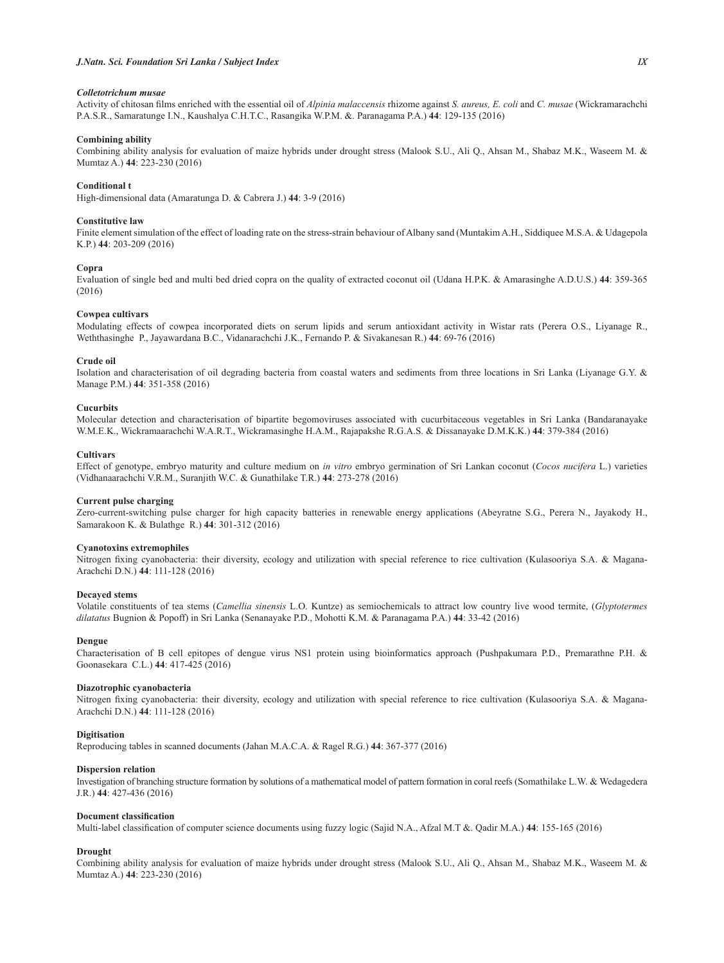## *Colletotrichum musae*

Activity of chitosan films enriched with the essential oil of *Alpinia malaccensis* rhizome against *S. aureus, E. coli* and *C. musae* (Wickramarachchi P.A.S.R., Samaratunge I.N., Kaushalya C.H.T.C., Rasangika W.P.M. &. Paranagama P.A.) **44**: 129-135 (2016)

## Combining ability

Combining ability analysis for evaluation of maize hybrids under drought stress (Malook S.U., Ali Q., Ahsan M., Shabaz M.K., Waseem M. & Mumtaz A.) **44**: 223-230 (2016)

## **Conditional t**

High-dimensional data (Amaratunga D. & Cabrera J.) **44**: 3-9 (2016)

## **Constitutive law**

Finite element simulation of the effect of loading rate on the stress-strain behaviour of Albany sand (Muntakim A.H., Siddiquee M.S.A. & Udagepola K.P.) **44**: 203-209 (2016)

### Copra

Evaluation of single bed and multi bed dried copra on the quality of extracted coconut oil (Udana H.P.K. & Amarasinghe A.D.U.S.) **44**: 359-365 (2016)

#### **Cowpea cultivars**

Modulating effects of cowpea incorporated diets on serum lipids and serum antioxidant activity in Wistar rats (Perera O.S., Liyanage R., Weththasinghe P., Jayawardana B.C., Vidanarachchi J.K., Fernando P. & Sivakanesan R.) **44**: 69-76 (2016)

#### **Crude** oil

Isolation and characterisation of oil degrading bacteria from coastal waters and sediments from three locations in Sri Lanka (Liyanage G.Y. & Manage P.M.) **44**: 351-358 (2016)

## **Cueurbits**

Molecular detection and characterisation of bipartite begomoviruses associated with cucurbitaceous vegetables in Sri Lanka (Bandaranayake W.M.E.K., Wickramaarachchi W.A.R.T., Wickramasinghe H.A.M., Rajapakshe R.G.A.S. & Dissanayake D.M.K.K.) **44**: 379-384 (2016)

#### **Cultivars**

Effect of genotype, embryo maturity and culture medium on *in vitro* embryo germination of Sri Lankan coconut (*Cocos nucifera* L.) varieties (Vidhanaarachchi V.R.M., Suranjith W.C. & Gunathilake T.R.) **44**: 273-278 (2016)

## **Current pulse charging**

Zero-current-switching pulse charger for high capacity batteries in renewable energy applications (Abeyratne S.G., Perera N., Jayakody H., Samarakoon K. & Bulathge R.) **44**: 301-312 (2016)

### Cyanotoxins extremophiles

Nitrogen fixing cyanobacteria: their diversity, ecology and utilization with special reference to rice cultivation (Kulasooriya S.A. & Magana-Arachchi D.N.) **44**: 111-128 (2016)

#### **Decaved** stems

Volatile constituents of tea stems (*Camellia sinensis* L.O. Kuntze) as semiochemicals to attract low country live wood termite, (*Glyptotermes dilatatus* Bugnion & Popoff) in Sri Lanka (Senanayake P.D., Mohotti K.M. & Paranagama P.A.) **44**: 33-42 (2016)

#### Dengue

Characterisation of B cell epitopes of dengue virus NS1 protein using bioinformatics approach (Pushpakumara P.D., Premarathne P.H. & Goonasekara C.L.) **44**: 417-425 (2016)

#### Diazotrophic cvanobacteria

Nitrogen fixing cyanobacteria: their diversity, ecology and utilization with special reference to rice cultivation (Kulasooriya S.A. & Magana-Arachchi D.N.) **44**: 111-128 (2016)

### **Digitisation**

Reproducing tables in scanned documents (Jahan M.A.C.A. & Ragel R.G.) **44**: 367-377 (2016)

### **Dispersion relation**

Investigation of branching structure formation by solutions of a mathematical model of pattern formation in coral reefs (Somathilake L.W. & Wedagedera J.R.) **44**: 427-436 (2016)

#### **Document classification**

Multi-label classification of computer science documents using fuzzy logic (Sajid N.A., Afzal M.T &. Qadir M.A.) 44: 155-165 (2016)

## **Drought**

Combining ability analysis for evaluation of maize hybrids under drought stress (Malook S.U., Ali Q., Ahsan M., Shabaz M.K., Waseem M. & Mumtaz A.) **44**: 223-230 (2016)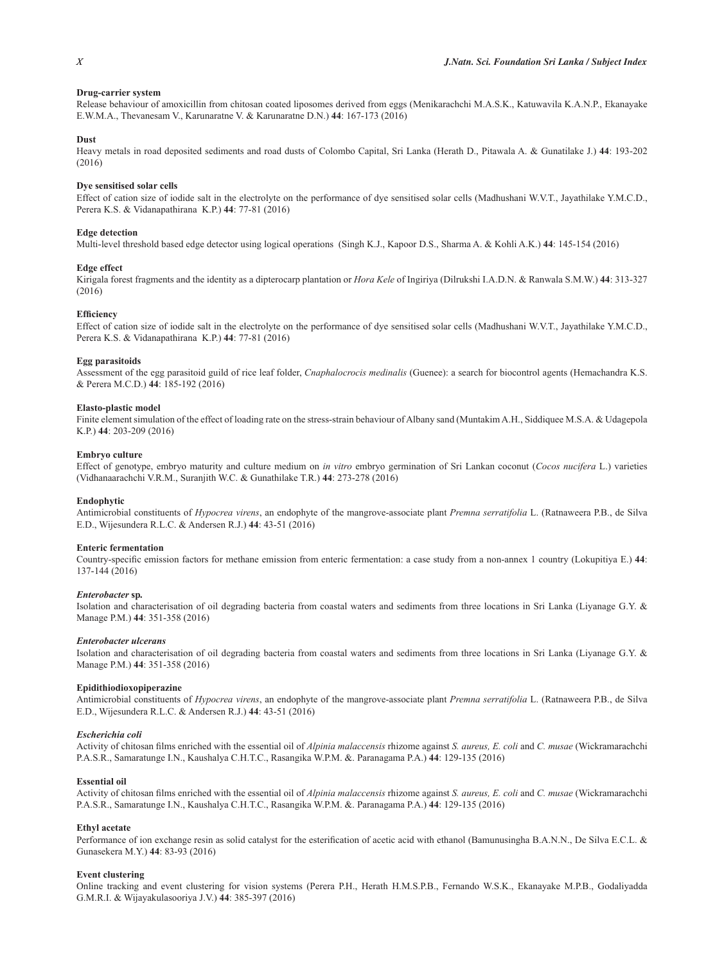## **Drug-carrier system**

Release behaviour of amoxicillin from chitosan coated liposomes derived from eggs (Menikarachchi M.A.S.K., Katuwavila K.A.N.P., Ekanayake E.W.M.A., Thevanesam V., Karunaratne V. & Karunaratne D.N.) **44**: 167-173 (2016)

## **Dust**

Heavy metals in road deposited sediments and road dusts of Colombo Capital, Sri Lanka (Herath D., Pitawala A. & Gunatilake J.) **44**: 193-202 (2016)

### **Dye sensitised solar cells**

Effect of cation size of iodide salt in the electrolyte on the performance of dye sensitised solar cells (Madhushani W.V.T., Jayathilake Y.M.C.D., Perera K.S. & Vidanapathirana K.P.) **44**: 77-81 (2016)

### **Edge detection**

Multi-level threshold based edge detector using logical operations (Singh K.J., Kapoor D.S., Sharma A. & Kohli A.K.) **44**: 145-154 (2016)

#### **Edge** effect

Kirigala forest fragments and the identity as a dipterocarp plantation or *Hora Kele* of Ingiriya (Dilrukshi I.A.D.N. & Ranwala S.M.W.) **44**: 313-327 (2016)

### **Efficiency**

Effect of cation size of iodide salt in the electrolyte on the performance of dye sensitised solar cells (Madhushani W.V.T., Jayathilake Y.M.C.D., Perera K.S. & Vidanapathirana K.P.) **44**: 77-81 (2016)

#### **Egg parasitoids**

Assessment of the egg parasitoid guild of rice leaf folder, *Cnaphalocrocis medinalis* (Guenee): a search for biocontrol agents (Hemachandra K.S. & Perera M.C.D.) **44**: 185-192 (2016)

#### **Elasto-plastic model**

Finite element simulation of the effect of loading rate on the stress-strain behaviour of Albany sand (Muntakim A.H., Siddiquee M.S.A. & Udagepola K.P.) **44**: 203-209 (2016)

#### **Embryo culture**

Effect of genotype, embryo maturity and culture medium on *in vitro* embryo germination of Sri Lankan coconut (*Cocos nucifera* L.) varieties (Vidhanaarachchi V.R.M., Suranjith W.C. & Gunathilake T.R.) **44**: 273-278 (2016)

## **Endophytic**

Antimicrobial constituents of *Hypocrea virens*, an endophyte of the mangrove-associate plant *Premna serratifolia* L. (Ratnaweera P.B., de Silva E.D., Wijesundera R.L.C. & Andersen R.J.) **44**: 43-51 (2016)

### **Enteric fermentation**

Country-specific emission factors for methane emission from enteric fermentation: a case study from a non-annex 1 country (Lokupitiya E.) 44: 137-144 (2016)

### $Enterobacter$ <sub>Sp.</sub>

Isolation and characterisation of oil degrading bacteria from coastal waters and sediments from three locations in Sri Lanka (Liyanage G.Y. & Manage P.M.) **44**: 351-358 (2016)

### $E$ nterobacter ulcerans

Isolation and characterisation of oil degrading bacteria from coastal waters and sediments from three locations in Sri Lanka (Liyanage G.Y. & Manage P.M.) **44**: 351-358 (2016)

#### $E$ pidithiodioxopiperazine

Antimicrobial constituents of *Hypocrea virens*, an endophyte of the mangrove-associate plant *Premna serratifolia* L. (Ratnaweera P.B., de Silva E.D., Wijesundera R.L.C. & Andersen R.J.) **44**: 43-51 (2016)

### $E$ *scherichia coli*

Activity of chitosan films enriched with the essential oil of *Alpinia malaccensis* rhizome against *S. aureus, E. coli* and *C. musae* (Wickramarachchi P.A.S.R., Samaratunge I.N., Kaushalya C.H.T.C., Rasangika W.P.M. &. Paranagama P.A.) **44**: 129-135 (2016)

## **Essential oil**

Activity of chitosan films enriched with the essential oil of *Alpinia malaccensis* rhizome against *S. aureus, E. coli* and *C. musae* (Wickramarachchi P.A.S.R., Samaratunge I.N., Kaushalya C.H.T.C., Rasangika W.P.M. &. Paranagama P.A.) **44**: 129-135 (2016)

## **Ethyl** acetate

Performance of ion exchange resin as solid catalyst for the esterification of acetic acid with ethanol (Bamunusingha B.A.N.N., De Silva E.C.L. & Gunasekera M.Y.) **44**: 83-93 (2016)

### **Event clustering**

Online tracking and event clustering for vision systems (Perera P.H., Herath H.M.S.P.B., Fernando W.S.K., Ekanayake M.P.B., Godaliyadda G.M.R.I. & Wijayakulasooriya J.V.) **44**: 385-397 (2016)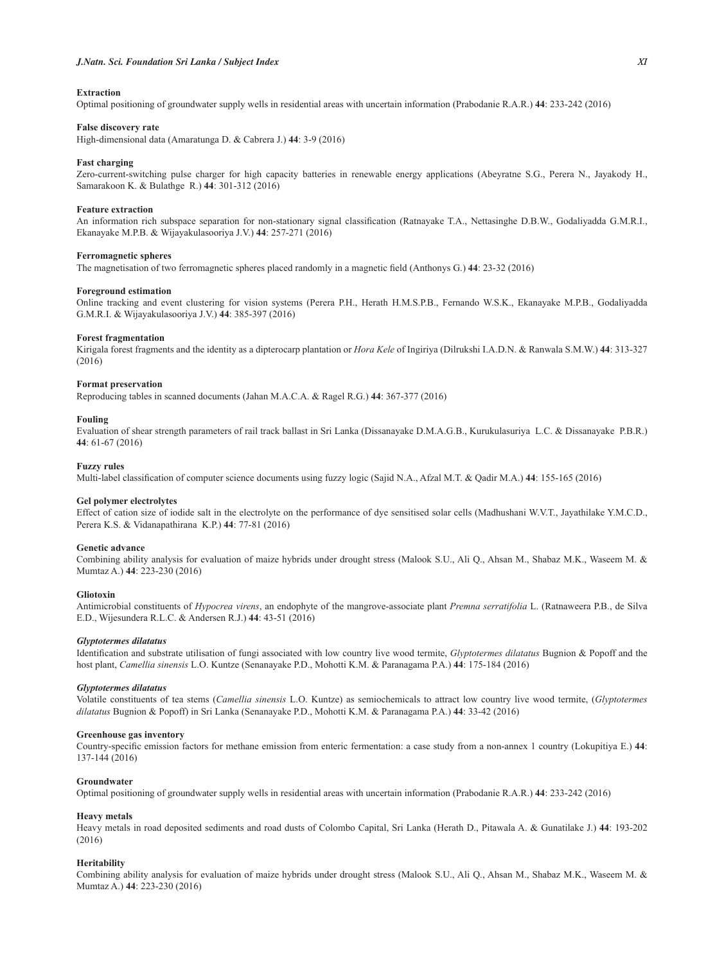## $Extraction$

Optimal positioning of groundwater supply wells in residential areas with uncertain information (Prabodanie R.A.R.) **44**: 233-242 (2016)

## **False discovery rate**

High-dimensional data (Amaratunga D. & Cabrera J.) **44**: 3-9 (2016)

#### **Fast charging**

Zero-current-switching pulse charger for high capacity batteries in renewable energy applications (Abeyratne S.G., Perera N., Jayakody H., Samarakoon K. & Bulathge R.) **44**: 301-312 (2016)

## **Feature extraction**

An information rich subspace separation for non-stationary signal classification (Ratnayake T.A., Nettasinghe D.B.W., Godaliyadda G.M.R.I., Ekanayake M.P.B. & Wijayakulasooriya J.V.) **44**: 257-271 (2016)

### **Ferromagnetic spheres**

The magnetisation of two ferromagnetic spheres placed randomly in a magnetic field (Anthonys G.) 44: 23-32 (2016)

#### **Foreground estimation**

Online tracking and event clustering for vision systems (Perera P.H., Herath H.M.S.P.B., Fernando W.S.K., Ekanayake M.P.B., Godaliyadda G.M.R.I. & Wijayakulasooriya J.V.) **44**: 385-397 (2016)

#### **Forest fragmentation**

Kirigala forest fragments and the identity as a dipterocarp plantation or *Hora Kele* of Ingiriya (Dilrukshi I.A.D.N. & Ranwala S.M.W.) **44**: 313-327 (2016)

### **Format preservation**

Reproducing tables in scanned documents (Jahan M.A.C.A. & Ragel R.G.) **44**: 367-377 (2016)

#### **Fouling**

Evaluation of shear strength parameters of rail track ballast in Sri Lanka (Dissanayake D.M.A.G.B., Kurukulasuriya L.C. & Dissanayake P.B.R.) **44**: 61-67 (2016)

## **Fuzzy** rules

Multi-label classification of computer science documents using fuzzy logic (Sajid N.A., Afzal M.T. & Qadir M.A.) 44: 155-165 (2016)

## Gel polymer electrolytes

Effect of cation size of iodide salt in the electrolyte on the performance of dye sensitised solar cells (Madhushani W.V.T., Jayathilake Y.M.C.D., Perera K.S. & Vidanapathirana K.P.) **44**: 77-81 (2016)

### **Genetic advance**

Combining ability analysis for evaluation of maize hybrids under drought stress (Malook S.U., Ali Q., Ahsan M., Shabaz M.K., Waseem M. & Mumtaz A.) **44**: 223-230 (2016)

## **Gliotoxin**

Antimicrobial constituents of *Hypocrea virens*, an endophyte of the mangrove-associate plant *Premna serratifolia* L. (Ratnaweera P.B., de Silva E.D., Wijesundera R.L.C. & Andersen R.J.) **44**: 43-51 (2016)

## *Glyptotermes dilatatus*

Identification and substrate utilisation of fungi associated with low country live wood termite, Glyptotermes dilatatus Bugnion & Popoff and the host plant, *Camellia sinensis* L.O. Kuntze (Senanayake P.D., Mohotti K.M. & Paranagama P.A.) **44**: 175-184 (2016)

### *Glyptotermes dilatatus*

Volatile constituents of tea stems (*Camellia sinensis* L.O. Kuntze) as semiochemicals to attract low country live wood termite, (*Glyptotermes dilatatus* Bugnion & Popoff) in Sri Lanka (Senanayake P.D., Mohotti K.M. & Paranagama P.A.) **44**: 33-42 (2016)

## **Greenhouse gas inventory**

Country-specific emission factors for methane emission from enteric fermentation: a case study from a non-annex 1 country (Lokupitiya E.) 44: 137-144 (2016)

## $C$ roundwater

Optimal positioning of groundwater supply wells in residential areas with uncertain information (Prabodanie R.A.R.) **44**: 233-242 (2016)

#### **Heavy** metals

Heavy metals in road deposited sediments and road dusts of Colombo Capital, Sri Lanka (Herath D., Pitawala A. & Gunatilake J.) **44**: 193-202 (2016)

## $Heritability$

Combining ability analysis for evaluation of maize hybrids under drought stress (Malook S.U., Ali Q., Ahsan M., Shabaz M.K., Waseem M. & Mumtaz A.) **44**: 223-230 (2016)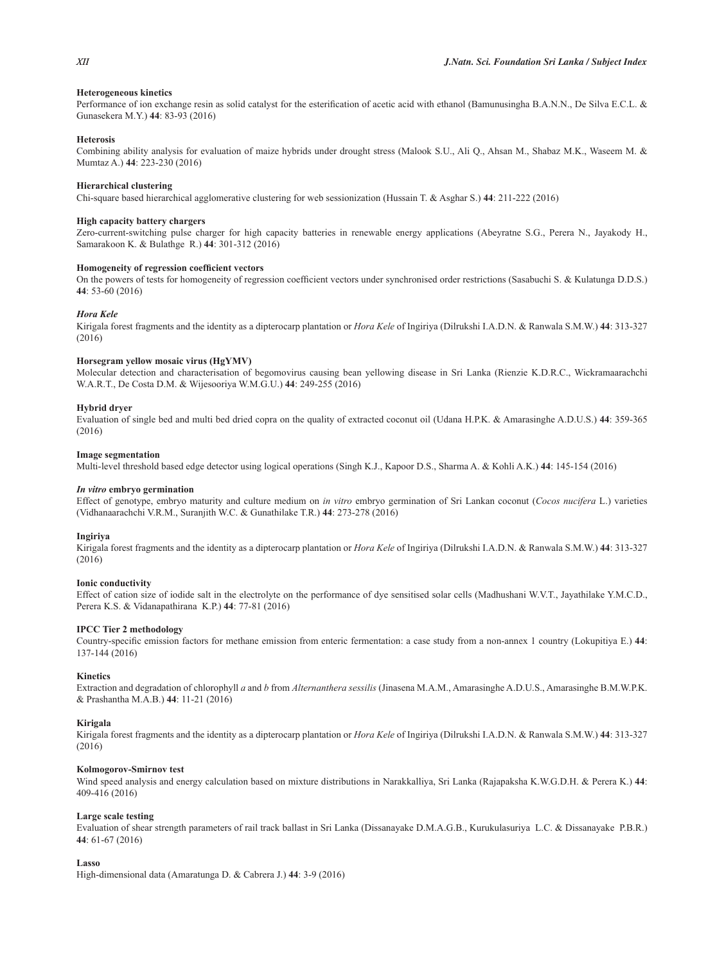## **Heterogeneous kinetics**

Performance of ion exchange resin as solid catalyst for the esterification of acetic acid with ethanol (Bamunusingha B.A.N.N., De Silva E.C.L. & Gunasekera M.Y.) **44**: 83-93 (2016)

## **Heterosis**

Combining ability analysis for evaluation of maize hybrids under drought stress (Malook S.U., Ali Q., Ahsan M., Shabaz M.K., Waseem M. & Mumtaz A.) **44**: 223-230 (2016)

## **Hierarchical clustering**

Chi-square based hierarchical agglomerative clustering for web sessionization (Hussain T. & Asghar S.) **44**: 211-222 (2016)

## **High capacity battery chargers**

Zero-current-switching pulse charger for high capacity batteries in renewable energy applications (Abeyratne S.G., Perera N., Jayakody H., Samarakoon K. & Bulathge R.) **44**: 301-312 (2016)

## **Homogeneity of regression coefficient vectors**

On the powers of tests for homogeneity of regression coefficient vectors under synchronised order restrictions (Sasabuchi S. & Kulatunga D.D.S.) **44**: 53-60 (2016)

## *Hora Kele*

Kirigala forest fragments and the identity as a dipterocarp plantation or *Hora Kele* of Ingiriya (Dilrukshi I.A.D.N. & Ranwala S.M.W.) **44**: 313-327 (2016)

### **Horsegram yellow mosaic virus (HgYMV)**

Molecular detection and characterisation of begomovirus causing bean yellowing disease in Sri Lanka (Rienzie K.D.R.C., Wickramaarachchi W.A.R.T., De Costa D.M. & Wijesooriya W.M.G.U.) **44**: 249-255 (2016)

## **Hybrid drver**

Evaluation of single bed and multi bed dried copra on the quality of extracted coconut oil (Udana H.P.K. & Amarasinghe A.D.U.S.) **44**: 359-365 (2016)

## **Image segmentation**

Multi-level threshold based edge detector using logical operations (Singh K.J., Kapoor D.S., Sharma A. & Kohli A.K.) **44**: 145-154 (2016)

### *In vitro* embryo germination

Effect of genotype, embryo maturity and culture medium on *in vitro* embryo germination of Sri Lankan coconut (*Cocos nucifera* L.) varieties (Vidhanaarachchi V.R.M., Suranjith W.C. & Gunathilake T.R.) **44**: 273-278 (2016)

### **Ingiriya**

Kirigala forest fragments and the identity as a dipterocarp plantation or *Hora Kele* of Ingiriya (Dilrukshi I.A.D.N. & Ranwala S.M.W.) **44**: 313-327 (2016)

### **Ionic conductivity**

Effect of cation size of iodide salt in the electrolyte on the performance of dye sensitised solar cells (Madhushani W.V.T., Jayathilake Y.M.C.D., Perera K.S. & Vidanapathirana K.P.) **44**: 77-81 (2016)

## **IPCC Tier 2 methodology**

Country-specific emission factors for methane emission from enteric fermentation: a case study from a non-annex 1 country (Lokupitiya E.) 44: 137-144 (2016)

### **Kinetics**

Extraction and degradation of chlorophyll *a* and *b* from *Alternanthera sessilis* (Jinasena M.A.M., Amarasinghe A.D.U.S., Amarasinghe B.M.W.P.K. & Prashantha M.A.B.) **44**: 11-21 (2016)

### **Kirigala**

Kirigala forest fragments and the identity as a dipterocarp plantation or *Hora Kele* of Ingiriya (Dilrukshi I.A.D.N. & Ranwala S.M.W.) **44**: 313-327 (2016)

### **Kolmogorov-Smirnov test**

Wind speed analysis and energy calculation based on mixture distributions in Narakkalliya, Sri Lanka (Rajapaksha K.W.G.D.H. & Perera K.) **44**: 409-416 (2016)

### **Large scale testing**

Evaluation of shear strength parameters of rail track ballast in Sri Lanka (Dissanayake D.M.A.G.B., Kurukulasuriya L.C. & Dissanayake P.B.R.) **44**: 61-67 (2016)

## Lasso

High-dimensional data (Amaratunga D. & Cabrera J.) **44**: 3-9 (2016)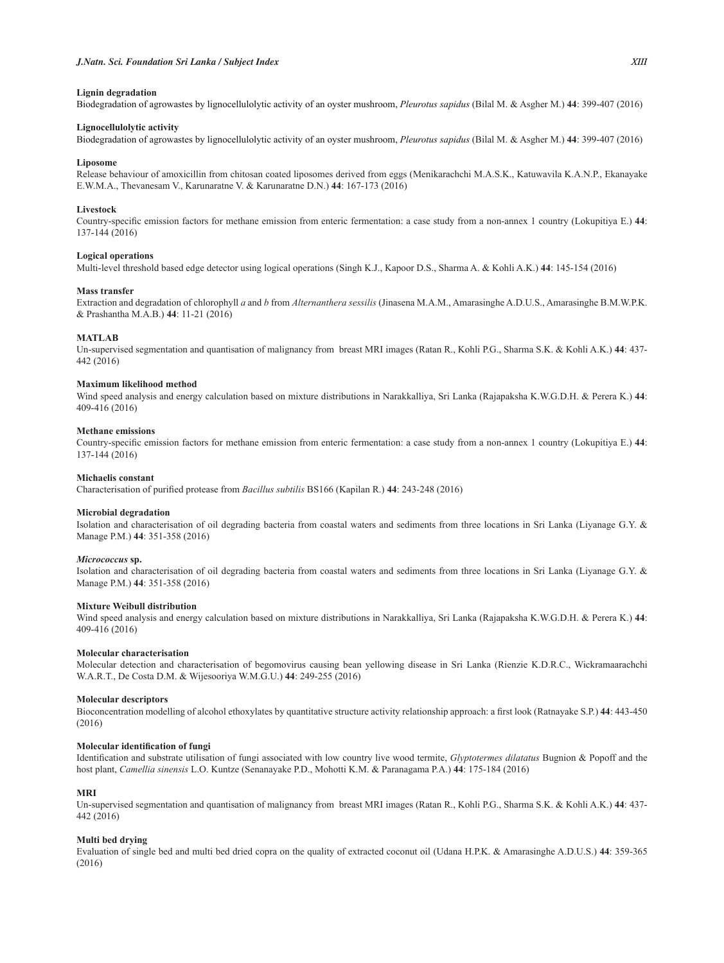## Lignin degradation

Biodegradation of agrowastes by lignocellulolytic activity of an oyster mushroom, *Pleurotus sapidus* (Bilal M. & Asgher M.) **44**: 399-407 (2016)

#### Lignocellulolytic activity

Biodegradation of agrowastes by lignocellulolytic activity of an oyster mushroom, *Pleurotus sapidus* (Bilal M. & Asgher M.) **44**: 399-407 (2016)

#### Liposome

Release behaviour of amoxicillin from chitosan coated liposomes derived from eggs (Menikarachchi M.A.S.K., Katuwavila K.A.N.P., Ekanayake E.W.M.A., Thevanesam V., Karunaratne V. & Karunaratne D.N.) **44**: 167-173 (2016)

### Livestock

Country-specific emission factors for methane emission from enteric fermentation: a case study from a non-annex 1 country (Lokupitiya E.) 44: 137-144 (2016)

### **Logical operations**

Multi-level threshold based edge detector using logical operations (Singh K.J., Kapoor D.S., Sharma A. & Kohli A.K.) **44**: 145-154 (2016)

#### **Mass transfer**

Extraction and degradation of chlorophyll *a* and *b* from *Alternanthera sessilis* (Jinasena M.A.M., Amarasinghe A.D.U.S., Amarasinghe B.M.W.P.K. & Prashantha M.A.B.) **44**: 11-21 (2016)

## **MATLAB**

Un-supervised segmentation and quantisation of malignancy from breast MRI images (Ratan R., Kohli P.G., Sharma S.K. & Kohli A.K.) **44**: 437- 442 (2016)

### **Maximum likelihood method**

Wind speed analysis and energy calculation based on mixture distributions in Narakkalliya, Sri Lanka (Rajapaksha K.W.G.D.H. & Perera K.) **44**: 409-416 (2016)

### **Methane emissions**

Country-specific emission factors for methane emission from enteric fermentation: a case study from a non-annex 1 country (Lokupitiya E.) 44: 137-144 (2016)

#### **Michaelis** constant

Characterisation of purified protease from Bacillus subtilis BS166 (Kapilan R.) 44: 243-248 (2016)

## **Microbial degradation**

Isolation and characterisation of oil degrading bacteria from coastal waters and sediments from three locations in Sri Lanka (Liyanage G.Y. & Manage P.M.) **44**: 351-358 (2016)

## *Micrococcus* sp.

Isolation and characterisation of oil degrading bacteria from coastal waters and sediments from three locations in Sri Lanka (Liyanage G.Y. & Manage P.M.) **44**: 351-358 (2016)

## **Mixture Weibull distribution**

Wind speed analysis and energy calculation based on mixture distributions in Narakkalliya, Sri Lanka (Rajapaksha K.W.G.D.H. & Perera K.) **44**: 409-416 (2016)

## **Molecular characterisation**

Molecular detection and characterisation of begomovirus causing bean yellowing disease in Sri Lanka (Rienzie K.D.R.C., Wickramaarachchi W.A.R.T., De Costa D.M. & Wijesooriya W.M.G.U.) **44**: 249-255 (2016)

## **Molecular descriptors**

Bioconcentration modelling of alcohol ethoxylates by quantitative structure activity relationship approach: a first look (Ratnayake S.P.) 44: 443-450 (2016)

### **Molecular identification of fungi**

Identification and substrate utilisation of fungi associated with low country live wood termite, *Glyptotermes dilatatus* Bugnion & Popoff and the host plant, *Camellia sinensis* L.O. Kuntze (Senanayake P.D., Mohotti K.M. & Paranagama P.A.) **44**: 175-184 (2016)

#### **MRI**

Un-supervised segmentation and quantisation of malignancy from breast MRI images (Ratan R., Kohli P.G., Sharma S.K. & Kohli A.K.) **44**: 437- 442 (2016)

### **Multi bed drying**

Evaluation of single bed and multi bed dried copra on the quality of extracted coconut oil (Udana H.P.K. & Amarasinghe A.D.U.S.) **44**: 359-365 (2016)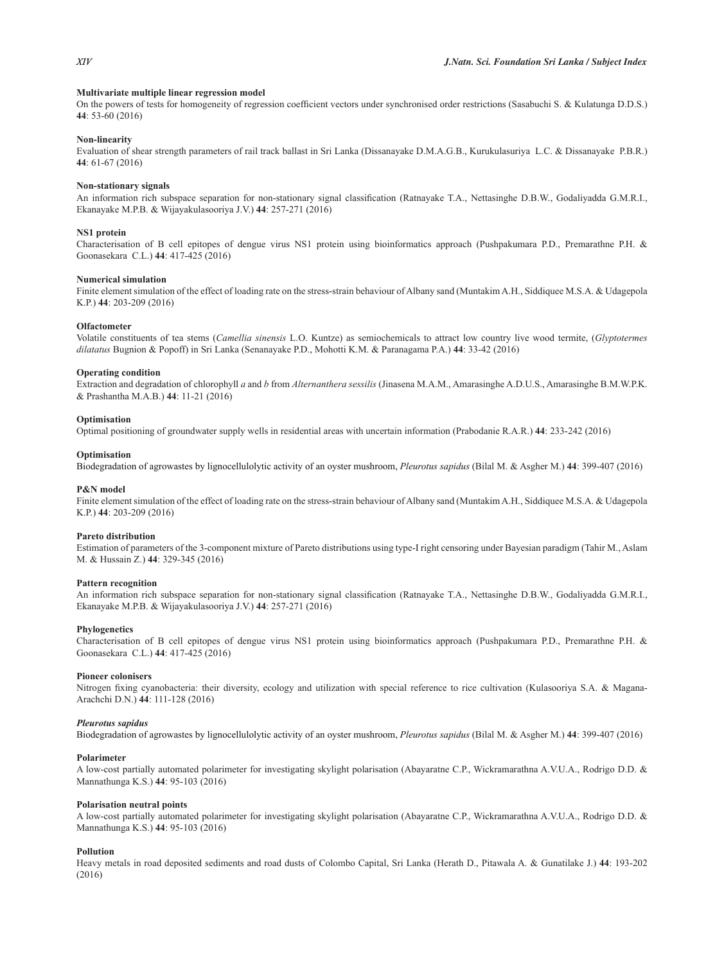## **Multivariate multiple linear regression model**

On the powers of tests for homogeneity of regression coefficient vectors under synchronised order restrictions (Sasabuchi S. & Kulatunga D.D.S.) **44**: 53-60 (2016)

## **Non-linearity**

Evaluation of shear strength parameters of rail track ballast in Sri Lanka (Dissanayake D.M.A.G.B., Kurukulasuriya L.C. & Dissanayake P.B.R.) **44**: 61-67 (2016)

## **Non-stationary signals**

An information rich subspace separation for non-stationary signal classification (Ratnayake T.A., Nettasinghe D.B.W., Godaliyadda G.M.R.I., Ekanayake M.P.B. & Wijayakulasooriya J.V.) **44**: 257-271 (2016)

## **NS1** protein

Characterisation of B cell epitopes of dengue virus NS1 protein using bioinformatics approach (Pushpakumara P.D., Premarathne P.H. & Goonasekara C.L.) **44**: 417-425 (2016)

## **Numerical simulation**

Finite element simulation of the effect of loading rate on the stress-strain behaviour of Albany sand (Muntakim A.H., Siddiquee M.S.A. & Udagepola K.P.) **44**: 203-209 (2016)

### **2**OIfactometer

Volatile constituents of tea stems (*Camellia sinensis* L.O. Kuntze) as semiochemicals to attract low country live wood termite, (*Glyptotermes dilatatus* Bugnion & Popoff) in Sri Lanka (Senanayake P.D., Mohotti K.M. & Paranagama P.A.) **44**: 33-42 (2016)

## **2**Operating condition

Extraction and degradation of chlorophyll *a* and *b* from *Alternanthera sessilis* (Jinasena M.A.M., Amarasinghe A.D.U.S., Amarasinghe B.M.W.P.K. & Prashantha M.A.B.) **44**: 11-21 (2016)

### **Optimisation**

Optimal positioning of groundwater supply wells in residential areas with uncertain information (Prabodanie R.A.R.) **44**: 233-242 (2016)

### **<u>Optimisation</u>**

Biodegradation of agrowastes by lignocellulolytic activity of an oyster mushroom, *Pleurotus sapidus* (Bilal M. & Asgher M.) **44**: 399-407 (2016)

## **P&N** model

Finite element simulation of the effect of loading rate on the stress-strain behaviour of Albany sand (Muntakim A.H., Siddiquee M.S.A. & Udagepola K.P.) **44**: 203-209 (2016)

#### **Pareto distribution**

Estimation of parameters of the 3-component mixture of Pareto distributions using type-I right censoring under Bayesian paradigm (Tahir M., Aslam M. & Hussain Z.) **44**: 329-345 (2016)

### **Pattern recognition**

An information rich subspace separation for non-stationary signal classification (Ratnayake T.A., Nettasinghe D.B.W., Godaliyadda G.M.R.I., Ekanayake M.P.B. & Wijayakulasooriya J.V.) **44**: 257-271 (2016)

## **Phylogenetics**

Characterisation of B cell epitopes of dengue virus NS1 protein using bioinformatics approach (Pushpakumara P.D., Premarathne P.H. & Goonasekara C.L.) **44**: 417-425 (2016)

#### **Pioneer colonisers**

Nitrogen fixing cyanobacteria: their diversity, ecology and utilization with special reference to rice cultivation (Kulasooriya S.A. & Magana-Arachchi D.N.) **44**: 111-128 (2016)

#### *Pleurotus sapidus*

Biodegradation of agrowastes by lignocellulolytic activity of an oyster mushroom, *Pleurotus sapidus* (Bilal M. & Asgher M.) **44**: 399-407 (2016)

#### **Polarimeter**

A low-cost partially automated polarimeter for investigating skylight polarisation (Abayaratne C.P., Wickramarathna A.V.U.A., Rodrigo D.D. & Mannathunga K.S.) **44**: 95-103 (2016)

## **Polarisation neutral points**

A low-cost partially automated polarimeter for investigating skylight polarisation (Abayaratne C.P., Wickramarathna A.V.U.A., Rodrigo D.D. & Mannathunga K.S.) **44**: 95-103 (2016)

## **Pollution**

Heavy metals in road deposited sediments and road dusts of Colombo Capital, Sri Lanka (Herath D., Pitawala A. & Gunatilake J.) **44**: 193-202 (2016)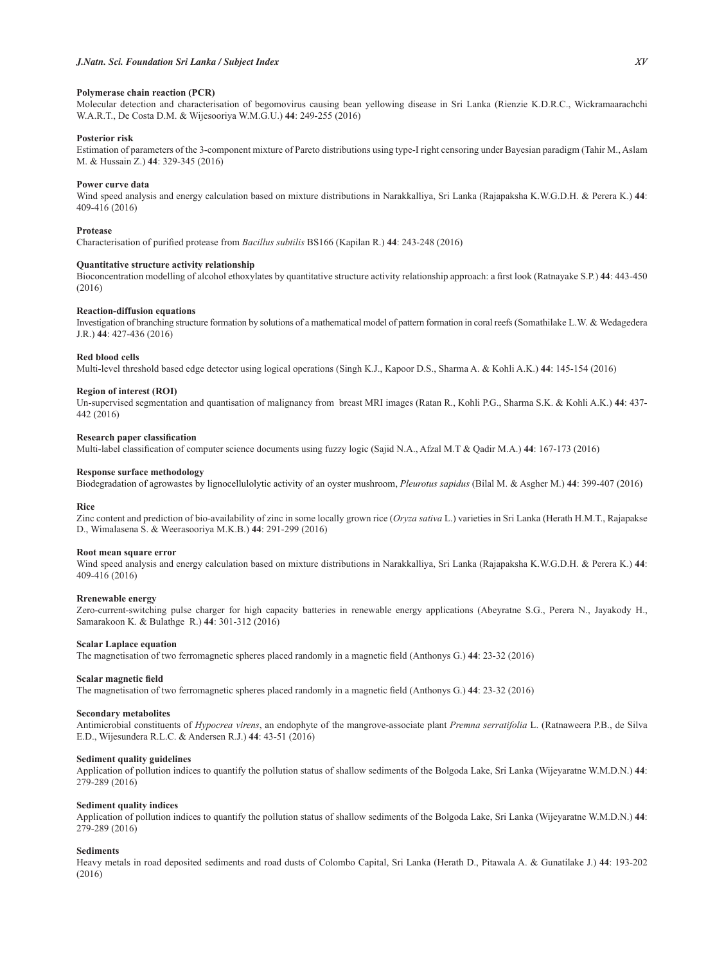## Polymerase chain reaction (PCR)

Molecular detection and characterisation of begomovirus causing bean yellowing disease in Sri Lanka (Rienzie K.D.R.C., Wickramaarachchi W.A.R.T., De Costa D.M. & Wijesooriya W.M.G.U.) **44**: 249-255 (2016)

## **Posterior risk**

Estimation of parameters of the 3-component mixture of Pareto distributions using type-I right censoring under Bayesian paradigm (Tahir M., Aslam M. & Hussain Z.) **44**: 329-345 (2016)

## **Power curve data**

Wind speed analysis and energy calculation based on mixture distributions in Narakkalliya, Sri Lanka (Rajapaksha K.W.G.D.H. & Perera K.) **44**: 409-416 (2016)

## **Protease**

Characterisation of purified protease from Bacillus subtilis BS166 (Kapilan R.) 44: 243-248 (2016)

### Quantitative structure activity relationship

Bioconcentration modelling of alcohol ethoxylates by quantitative structure activity relationship approach: a first look (Ratnayake S.P.) 44: 443-450 (2016)

## **Reaction-diffusion equations**

Investigation of branching structure formation by solutions of a mathematical model of pattern formation in coral reefs (Somathilake L.W. & Wedagedera J.R.) **44**: 427-436 (2016)

## **Red blood cells**

Multi-level threshold based edge detector using logical operations (Singh K.J., Kapoor D.S., Sharma A. & Kohli A.K.) **44**: 145-154 (2016)

## **Region of interest (ROI)**

Un-supervised segmentation and quantisation of malignancy from breast MRI images (Ratan R., Kohli P.G., Sharma S.K. & Kohli A.K.) **44**: 437- 442 (2016)

## **Research paper classification**

Multi-label classification of computer science documents using fuzzy logic (Sajid N.A., Afzal M.T & Qadir M.A.) 44: 167-173 (2016)

## **Response surface methodology**

Biodegradation of agrowastes by lignocellulolytic activity of an oyster mushroom, *Pleurotus sapidus* (Bilal M. & Asgher M.) **44**: 399-407 (2016)

## **Rice**

Zinc content and prediction of bio-availability of zinc in some locally grown rice (*Oryza sativa* L.) varieties in Sri Lanka (Herath H.M.T., Rajapakse D., Wimalasena S. & Weerasooriya M.K.B.) **44**: 291-299 (2016)

## Root mean square error

Wind speed analysis and energy calculation based on mixture distributions in Narakkalliya, Sri Lanka (Rajapaksha K.W.G.D.H. & Perera K.) **44**: 409-416 (2016)

### **Rrenewable energy**

Zero-current-switching pulse charger for high capacity batteries in renewable energy applications (Abeyratne S.G., Perera N., Jayakody H., Samarakoon K. & Bulathge R.) **44**: 301-312 (2016)

### **Scalar Laplace equation**

The magnetisation of two ferromagnetic spheres placed randomly in a magnetic field (Anthonys G.) 44: 23-32 (2016)

## **Scalar magnetic field**

The magnetisation of two ferromagnetic spheres placed randomly in a magnetic field (Anthonys G.) 44: 23-32 (2016)

### **Secondary metabolites**

Antimicrobial constituents of *Hypocrea virens*, an endophyte of the mangrove-associate plant *Premna serratifolia* L. (Ratnaweera P.B., de Silva E.D., Wijesundera R.L.C. & Andersen R.J.) **44**: 43-51 (2016)

### **Sediment quality guidelines**

Application of pollution indices to quantify the pollution status of shallow sediments of the Bolgoda Lake, Sri Lanka (Wijeyaratne W.M.D.N.) **44**: 279-289 (2016)

### **Sediment quality indices**

Application of pollution indices to quantify the pollution status of shallow sediments of the Bolgoda Lake, Sri Lanka (Wijeyaratne W.M.D.N.) **44**: 279-289 (2016)

## **Sediments**

Heavy metals in road deposited sediments and road dusts of Colombo Capital, Sri Lanka (Herath D., Pitawala A. & Gunatilake J.) **44**: 193-202 (2016)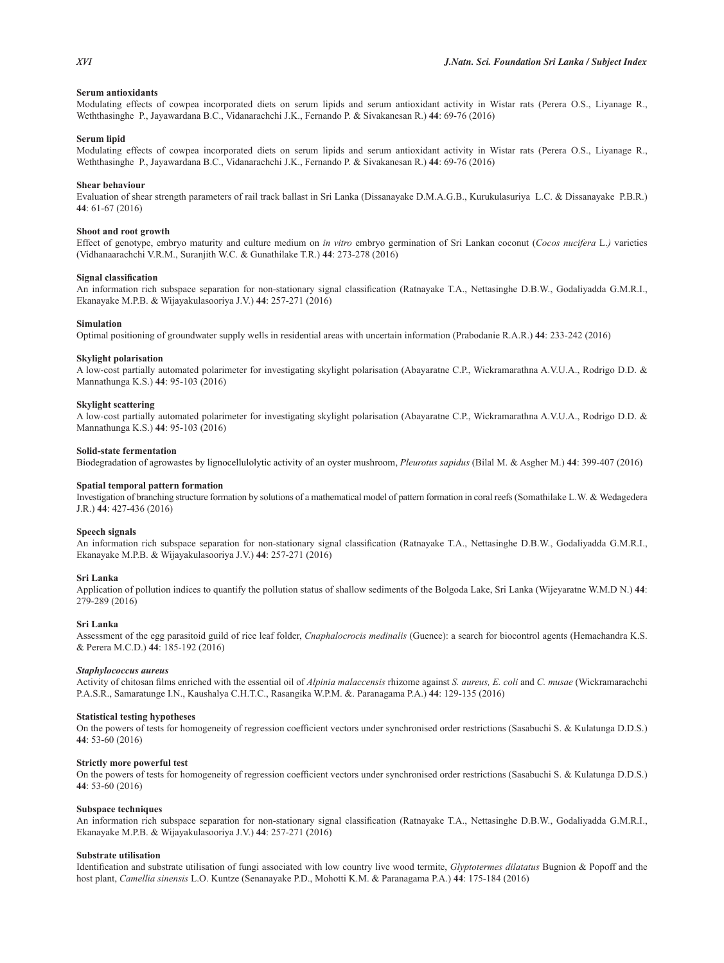## **Serum antioxidants**

Modulating effects of cowpea incorporated diets on serum lipids and serum antioxidant activity in Wistar rats (Perera O.S., Liyanage R., Weththasinghe P., Jayawardana B.C., Vidanarachchi J.K., Fernando P. & Sivakanesan R.) **44**: 69-76 (2016)

## **Serum** linid

Modulating effects of cowpea incorporated diets on serum lipids and serum antioxidant activity in Wistar rats (Perera O.S., Liyanage R., Weththasinghe P., Jayawardana B.C., Vidanarachchi J.K., Fernando P. & Sivakanesan R.) **44**: 69-76 (2016)

### **Shear behaviour**

Evaluation of shear strength parameters of rail track ballast in Sri Lanka (Dissanayake D.M.A.G.B., Kurukulasuriya L.C. & Dissanayake P.B.R.) **44**: 61-67 (2016)

### **Shoot and root growth**

Effect of genotype, embryo maturity and culture medium on *in vitro* embryo germination of Sri Lankan coconut (*Cocos nucifera* L.*)* varieties (Vidhanaarachchi V.R.M., Suranjith W.C. & Gunathilake T.R.) **44**: 273-278 (2016)

#### **Signal classification**

An information rich subspace separation for non-stationary signal classification (Ratnayake T.A., Nettasinghe D.B.W., Godaliyadda G.M.R.I., Ekanayake M.P.B. & Wijayakulasooriya J.V.) **44**: 257-271 (2016)

### **Simulation**

Optimal positioning of groundwater supply wells in residential areas with uncertain information (Prabodanie R.A.R.) **44**: 233-242 (2016)

## **Skylight polarisation**

A low-cost partially automated polarimeter for investigating skylight polarisation (Abayaratne C.P., Wickramarathna A.V.U.A., Rodrigo D.D. & Mannathunga K.S.) **44**: 95-103 (2016)

#### **Skylight scattering**

A low-cost partially automated polarimeter for investigating skylight polarisation (Abayaratne C.P., Wickramarathna A.V.U.A., Rodrigo D.D. & Mannathunga K.S.) **44**: 95-103 (2016)

#### **Solid-state fermentation**

Biodegradation of agrowastes by lignocellulolytic activity of an oyster mushroom, *Pleurotus sapidus* (Bilal M. & Asgher M.) **44**: 399-407 (2016)

## **Spatial temporal pattern formation**

Investigation of branching structure formation by solutions of a mathematical model of pattern formation in coral reefs (Somathilake L.W. & Wedagedera J.R.) **44**: 427-436 (2016)

### **Speech signals**

An information rich subspace separation for non-stationary signal classification (Ratnayake T.A., Nettasinghe D.B.W., Godaliyadda G.M.R.I., Ekanayake M.P.B. & Wijayakulasooriya J.V.) **44**: 257-271 (2016)

#### **Sri Lanka**

Application of pollution indices to quantify the pollution status of shallow sediments of the Bolgoda Lake, Sri Lanka (Wijeyaratne W.M.D N.) **44**: 279-289 (2016)

#### **Sri Lanka**

Assessment of the egg parasitoid guild of rice leaf folder, *Cnaphalocrocis medinalis* (Guenee): a search for biocontrol agents (Hemachandra K.S. & Perera M.C.D.) **44**: 185-192 (2016)

#### *Staphylococcus aureus*

Activity of chitosan films enriched with the essential oil of *Alpinia malaccensis* rhizome against *S. aureus, E. coli* and *C. musae* (Wickramarachchi P.A.S.R., Samaratunge I.N., Kaushalya C.H.T.C., Rasangika W.P.M. &. Paranagama P.A.) **44**: 129-135 (2016)

## **Statistical testing hypotheses**

On the powers of tests for homogeneity of regression coefficient vectors under synchronised order restrictions (Sasabuchi S. & Kulatunga D.D.S.) **44**: 53-60 (2016)

### **Strictly more powerful test**

On the powers of tests for homogeneity of regression coefficient vectors under synchronised order restrictions (Sasabuchi S. & Kulatunga D.D.S.) **44**: 53-60 (2016)

## **Subspace techniques**

An information rich subspace separation for non-stationary signal classification (Ratnayake T.A., Nettasinghe D.B.W., Godaliyadda G.M.R.I., Ekanayake M.P.B. & Wijayakulasooriya J.V.) **44**: 257-271 (2016)

## **Substrate utilisation**

Identification and substrate utilisation of fungi associated with low country live wood termite, *Glyptotermes dilatatus* Bugnion & Popoff and the host plant, *Camellia sinensis* L.O. Kuntze (Senanayake P.D., Mohotti K.M. & Paranagama P.A.) **44**: 175-184 (2016)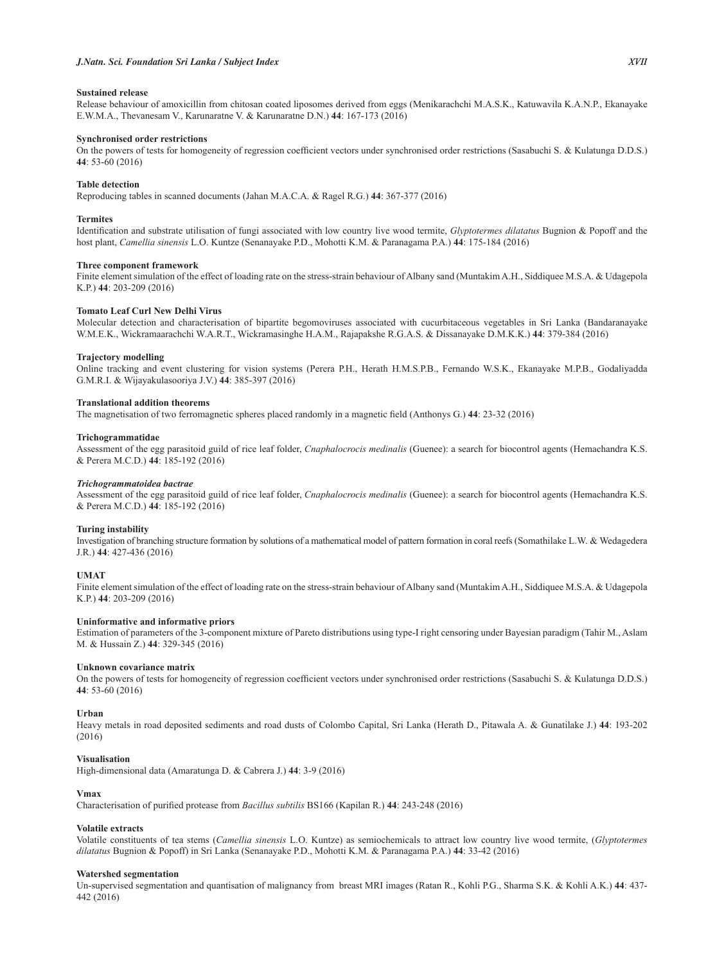## **Sustained release**

Release behaviour of amoxicillin from chitosan coated liposomes derived from eggs (Menikarachchi M.A.S.K., Katuwavila K.A.N.P., Ekanayake E.W.M.A., Thevanesam V., Karunaratne V. & Karunaratne D.N.) **44**: 167-173 (2016)

## **Synchronised order restrictions**

On the powers of tests for homogeneity of regression coefficient vectors under synchronised order restrictions (Sasabuchi S. & Kulatunga D.D.S.) **44**: 53-60 (2016)

## **Table detection**

Reproducing tables in scanned documents (Jahan M.A.C.A. & Ragel R.G.) **44**: 367-377 (2016)

## **Termites**

Identification and substrate utilisation of fungi associated with low country live wood termite, *Glyptotermes dilatatus* Bugnion & Popoff and the host plant, *Camellia sinensis* L.O. Kuntze (Senanayake P.D., Mohotti K.M. & Paranagama P.A.) **44**: 175-184 (2016)

## **Three component framework**

Finite element simulation of the effect of loading rate on the stress-strain behaviour of Albany sand (Muntakim A.H., Siddiquee M.S.A. & Udagepola K.P.) **44**: 203-209 (2016)

## **7Domato Leaf Curl New Delhi Virus**

Molecular detection and characterisation of bipartite begomoviruses associated with cucurbitaceous vegetables in Sri Lanka (Bandaranayake W.M.E.K., Wickramaarachchi W.A.R.T., Wickramasinghe H.A.M., Rajapakshe R.G.A.S. & Dissanayake D.M.K.K.) **44**: 379-384 (2016)

## **Traiectory** modelling

Online tracking and event clustering for vision systems (Perera P.H., Herath H.M.S.P.B., Fernando W.S.K., Ekanayake M.P.B., Godaliyadda G.M.R.I. & Wijayakulasooriya J.V.) **44**: 385-397 (2016)

## **Translational addition theorems**

The magnetisation of two ferromagnetic spheres placed randomly in a magnetic field (Anthonys G.) 44: 23-32 (2016)

### **Trichogrammatidae**

Assessment of the egg parasitoid guild of rice leaf folder, *Cnaphalocrocis medinalis* (Guenee): a search for biocontrol agents (Hemachandra K.S. & Perera M.C.D.) **44**: 185-192 (2016)

### *Trichogrammatoidea bactrae*

Assessment of the egg parasitoid guild of rice leaf folder, *Cnaphalocrocis medinalis* (Guenee): a search for biocontrol agents (Hemachandra K.S. & Perera M.C.D.) **44**: 185-192 (2016)

## *Turing* instability

Investigation of branching structure formation by solutions of a mathematical model of pattern formation in coral reefs (Somathilake L.W. & Wedagedera J.R.) **44**: 427-436 (2016)

## **UMAT**

Finite element simulation of the effect of loading rate on the stress-strain behaviour of Albany sand (Muntakim A.H., Siddiquee M.S.A. & Udagepola K.P.) **44**: 203-209 (2016)

### Uninformative and informative priors

Estimation of parameters of the 3-component mixture of Pareto distributions using type-I right censoring under Bayesian paradigm (Tahir M., Aslam M. & Hussain Z.) **44**: 329-345 (2016)

## **Unknown covariance matrix**

On the powers of tests for homogeneity of regression coefficient vectors under synchronised order restrictions (Sasabuchi S. & Kulatunga D.D.S.) **44**: 53-60 (2016)

## **Urban**

Heavy metals in road deposited sediments and road dusts of Colombo Capital, Sri Lanka (Herath D., Pitawala A. & Gunatilake J.) **44**: 193-202 (2016)

## **Visualisation**

High-dimensional data (Amaratunga D. & Cabrera J.) **44**: 3-9 (2016)

## $V$ max

Characterisation of purified protease from *Bacillus subtilis* BS166 (Kapilan R.) 44: 243-248 (2016)

## **Volatile extracts**

Volatile constituents of tea stems (*Camellia sinensis* L.O. Kuntze) as semiochemicals to attract low country live wood termite, (*Glyptotermes dilatatus* Bugnion & Popoff) in Sri Lanka (Senanayake P.D., Mohotti K.M. & Paranagama P.A.) **44**: 33-42 (2016)

## **Watershed segmentation**

Un-supervised segmentation and quantisation of malignancy from breast MRI images (Ratan R., Kohli P.G., Sharma S.K. & Kohli A.K.) **44**: 437- 442 (2016)